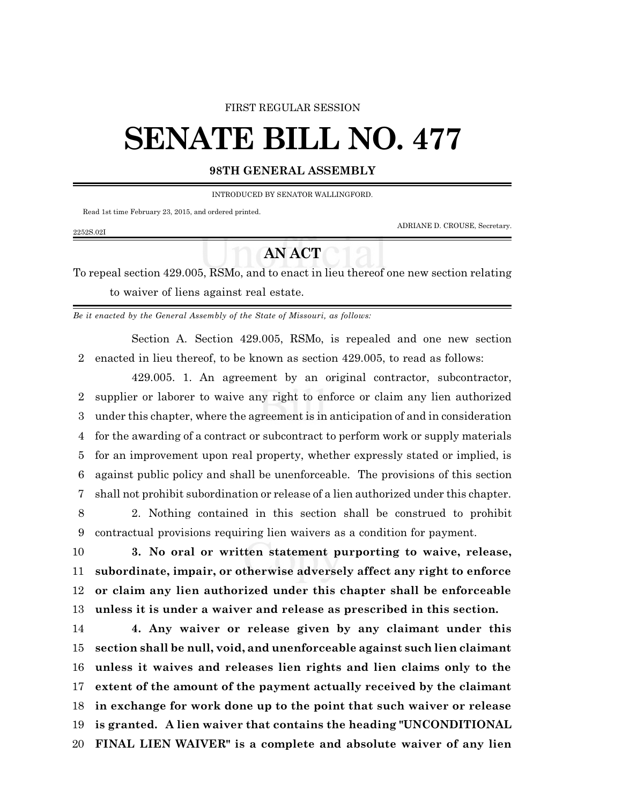#### FIRST REGULAR SESSION

# **SENATE BILL NO. 477**

### **98TH GENERAL ASSEMBLY**

INTRODUCED BY SENATOR WALLINGFORD.

Read 1st time February 23, 2015, and ordered printed.

2252S.02I

ADRIANE D. CROUSE, Secretary.

## **AN ACT**

To repeal section 429.005, RSMo, and to enact in lieu thereof one new section relating to waiver of liens against real estate.

*Be it enacted by the General Assembly of the State of Missouri, as follows:*

Section A. Section 429.005, RSMo, is repealed and one new section enacted in lieu thereof, to be known as section 429.005, to read as follows:

429.005. 1. An agreement by an original contractor, subcontractor, supplier or laborer to waive any right to enforce or claim any lien authorized under this chapter, where the agreement is in anticipation of and in consideration for the awarding of a contract or subcontract to perform work or supply materials for an improvement upon real property, whether expressly stated or implied, is against public policy and shall be unenforceable. The provisions of this section shall not prohibit subordination or release of a lien authorized under this chapter.

 2. Nothing contained in this section shall be construed to prohibit contractual provisions requiring lien waivers as a condition for payment.

 **3. No oral or written statement purporting to waive, release, subordinate, impair, or otherwise adversely affect any right to enforce or claim any lien authorized under this chapter shall be enforceable unless it is under a waiver and release as prescribed in this section.**

 **4. Any waiver or release given by any claimant under this section shall be null, void, and unenforceable against such lien claimant unless it waives and releases lien rights and lien claims only to the extent of the amount of the payment actually received by the claimant in exchange for work done up to the point that such waiver or release is granted. A lien waiver that contains the heading "UNCONDITIONAL FINAL LIEN WAIVER" is a complete and absolute waiver of any lien**